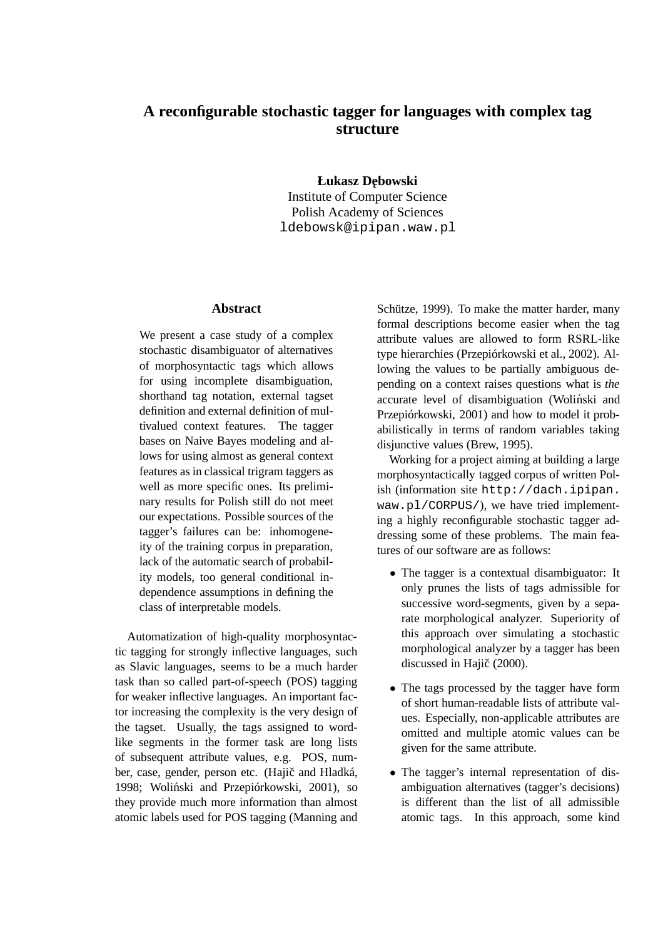# **A reconfigurable stochastic tagger for languages with complex tag structure**

**Łukasz Debo ˛ wski**

Institute of Computer Science Polish Academy of Sciences ldebowsk@ipipan.waw.pl

## **Abstract**

We present a case study of a complex stochastic disambiguator of alternatives of morphosyntactic tags which allows for using incomplete disambiguation, shorthand tag notation, external tagset definition and external definition of multivalued context features. The tagger bases on Naive Bayes modeling and allows for using almost as general context features as in classical trigram taggers as well as more specific ones. Its preliminary results for Polish still do not meet our expectations. Possible sources of the tagger's failures can be: inhomogeneity of the training corpus in preparation, lack of the automatic search of probability models, too general conditional independence assumptions in defining the class of interpretable models.

Automatization of high-quality morphosyntactic tagging for strongly inflective languages, such as Slavic languages, seems to be a much harder task than so called part-of-speech (POS) tagging for weaker inflective languages. An important factor increasing the complexity is the very design of the tagset. Usually, the tags assigned to wordlike segments in the former task are long lists of subsequent attribute values, e.g. POS, number, case, gender, person etc. (Hajič and Hladká, 1998; Woliński and Przepiórkowski, 2001), so they provide much more information than almost atomic labels used for POS tagging (Manning and Schütze, 1999). To make the matter harder, many formal descriptions become easier when the tag attribute values are allowed to form RSRL-like type hierarchies (Przepiórkowski et al., 2002). Allowing the values to be partially ambiguous depending on a context raises questions what is *the* accurate level of disambiguation (Woliński and Przepiórkowski, 2001) and how to model it probabilistically in terms of random variables taking disjunctive values (Brew, 1995).

Working for a project aiming at building a large morphosyntactically tagged corpus of written Polish (information site http://dach.ipipan. waw.pl/CORPUS/), we have tried implementing a highly reconfigurable stochastic tagger addressing some of these problems. The main features of our software are as follows:

- The tagger is a contextual disambiguator: It only prunes the lists of tags admissible for successive word-segments, given by a separate morphological analyzer. Superiority of this approach over simulating a stochastic morphological analyzer by a tagger has been discussed in Hajič (2000).
- The tags processed by the tagger have form of short human-readable lists of attribute values. Especially, non-applicable attributes are omitted and multiple atomic values can be given for the same attribute.
- The tagger's internal representation of disambiguation alternatives (tagger's decisions) is different than the list of all admissible atomic tags. In this approach, some kind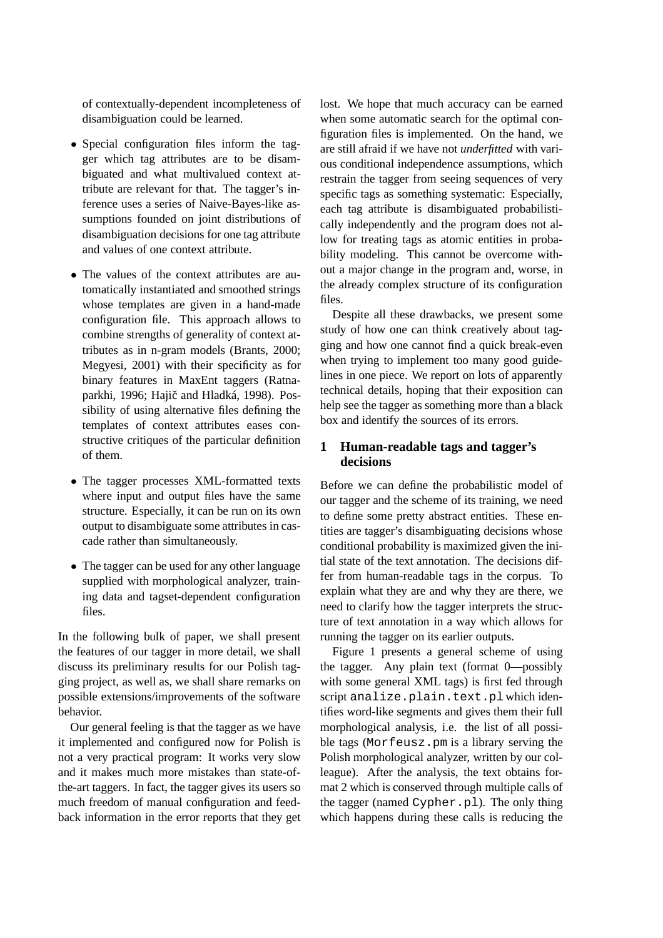of contextually-dependent incompleteness of disambiguation could be learned.

- Special configuration files inform the tagger which tag attributes are to be disambiguated and what multivalued context attribute are relevant for that. The tagger's inference uses a series of Naive-Bayes-like assumptions founded on joint distributions of disambiguation decisions for one tag attribute and values of one context attribute.
- The values of the context attributes are automatically instantiated and smoothed strings whose templates are given in a hand-made configuration file. This approach allows to combine strengths of generality of context attributes as in n-gram models (Brants, 2000; Megyesi, 2001) with their specificity as for binary features in MaxEnt taggers (Ratnaparkhi, 1996; Hajič and Hladká, 1998). Possibility of using alternative files defining the templates of context attributes eases constructive critiques of the particular definition of them.
- The tagger processes XML-formatted texts where input and output files have the same structure. Especially, it can be run on its own output to disambiguate some attributes in cascade rather than simultaneously.
- The tagger can be used for any other language supplied with morphological analyzer, training data and tagset-dependent configuration files.

In the following bulk of paper, we shall present the features of our tagger in more detail, we shall discuss its preliminary results for our Polish tagging project, as well as, we shall share remarks on possible extensions/improvements of the software behavior.

Our general feeling is that the tagger as we have it implemented and configured now for Polish is not a very practical program: It works very slow and it makes much more mistakes than state-ofthe-art taggers. In fact, the tagger gives its users so much freedom of manual configuration and feedback information in the error reports that they get lost. We hope that much accuracy can be earned when some automatic search for the optimal configuration files is implemented. On the hand, we are still afraid if we have not *underfitted* with various conditional independence assumptions, which restrain the tagger from seeing sequences of very specific tags as something systematic: Especially, each tag attribute is disambiguated probabilistically independently and the program does not allow for treating tags as atomic entities in probability modeling. This cannot be overcome without a major change in the program and, worse, in the already complex structure of its configuration files.

Despite all these drawbacks, we present some study of how one can think creatively about tagging and how one cannot find a quick break-even when trying to implement too many good guidelines in one piece. We report on lots of apparently technical details, hoping that their exposition can help see the tagger as something more than a black box and identify the sources of its errors.

# **1 Human-readable tags and tagger's decisions**

Before we can define the probabilistic model of our tagger and the scheme of its training, we need to define some pretty abstract entities. These entities are tagger's disambiguating decisions whose conditional probability is maximized given the initial state of the text annotation. The decisions differ from human-readable tags in the corpus. To explain what they are and why they are there, we need to clarify how the tagger interprets the structure of text annotation in a way which allows for running the tagger on its earlier outputs.

Figure 1 presents a general scheme of using the tagger. Any plain text (format 0—possibly with some general XML tags) is first fed through script analize.plain.text.pl which identifies word-like segments and gives them their full morphological analysis, i.e. the list of all possible tags (Morfeusz.pm is a library serving the Polish morphological analyzer, written by our colleague). After the analysis, the text obtains format 2 which is conserved through multiple calls of the tagger (named Cypher.pl). The only thing which happens during these calls is reducing the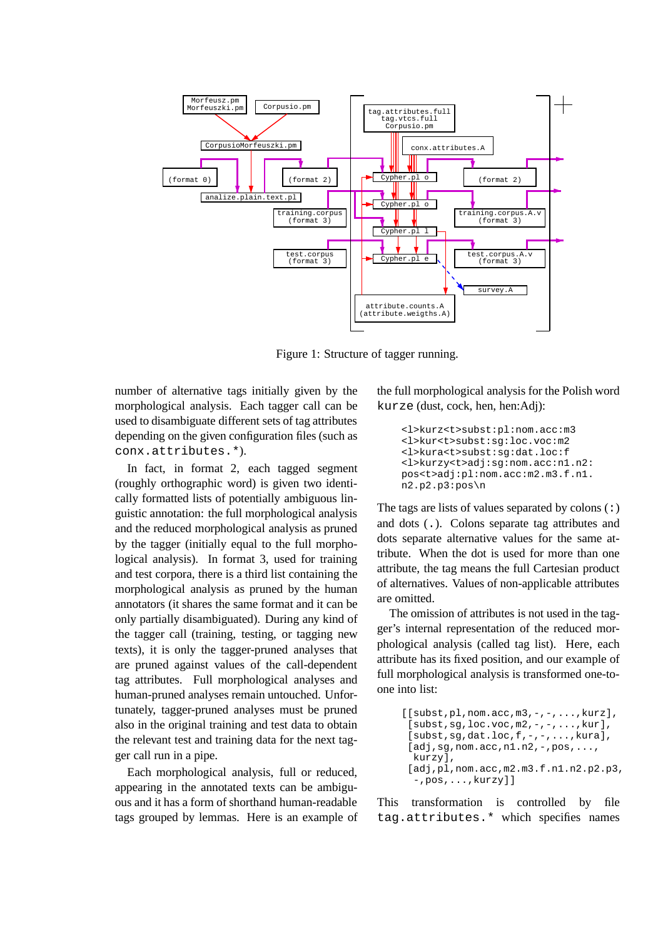

Figure 1: Structure of tagger running.

number of alternative tags initially given by the morphological analysis. Each tagger call can be used to disambiguate different sets of tag attributes depending on the given configuration files (such as conx.attributes.\*).

In fact, in format 2, each tagged segment (roughly orthographic word) is given two identically formatted lists of potentially ambiguous linguistic annotation: the full morphological analysis and the reduced morphological analysis as pruned by the tagger (initially equal to the full morphological analysis). In format 3, used for training and test corpora, there is a third list containing the morphological analysis as pruned by the human annotators (it shares the same format and it can be only partially disambiguated). During any kind of the tagger call (training, testing, or tagging new texts), it is only the tagger-pruned analyses that are pruned against values of the call-dependent tag attributes. Full morphological analyses and human-pruned analyses remain untouched. Unfortunately, tagger-pruned analyses must be pruned also in the original training and test data to obtain the relevant test and training data for the next tagger call run in a pipe.

Each morphological analysis, full or reduced, appearing in the annotated texts can be ambiguous and it has a form of shorthand human-readable tags grouped by lemmas. Here is an example of

the full morphological analysis for the Polish word kurze (dust, cock, hen, hen:Adj):

```
<l>kurz<t>subst:pl:nom.acc:m3
<l>kur<t>subst:sg:loc.voc:m2
<l>kura<t>subst:sg:dat.loc:f
<l>kurzy<t>adj:sg:nom.acc:n1.n2:
pos<t>adj:pl:nom.acc:m2.m3.f.n1.
n2.p2.p3:pos\n
```
The tags are lists of values separated by colons  $(:)$ and dots (.). Colons separate tag attributes and dots separate alternative values for the same attribute. When the dot is used for more than one attribute, the tag means the full Cartesian product of alternatives. Values of non-applicable attributes are omitted.

The omission of attributes is not used in the tagger's internal representation of the reduced morphological analysis (called tag list). Here, each attribute has its fixed position, and our example of full morphological analysis is transformed one-toone into list:

```
[[subst,pl,nom.acc,m3,-,-,...,kurz],
 [subst,sg,loc.voc,m2,-,-,...,kur],
 [subst, sq, dat.loc,f,-,-,\ldots,kura],
 [adj, sg, nom. acc,n1.n2,-pos,...,kurzy],
 [adj,pl,nom.acc,m2.m3.f.n1.n2.p2.p3,
  -,pos,...,kurzy]]
```
This transformation is controlled by file tag.attributes.\* which specifies names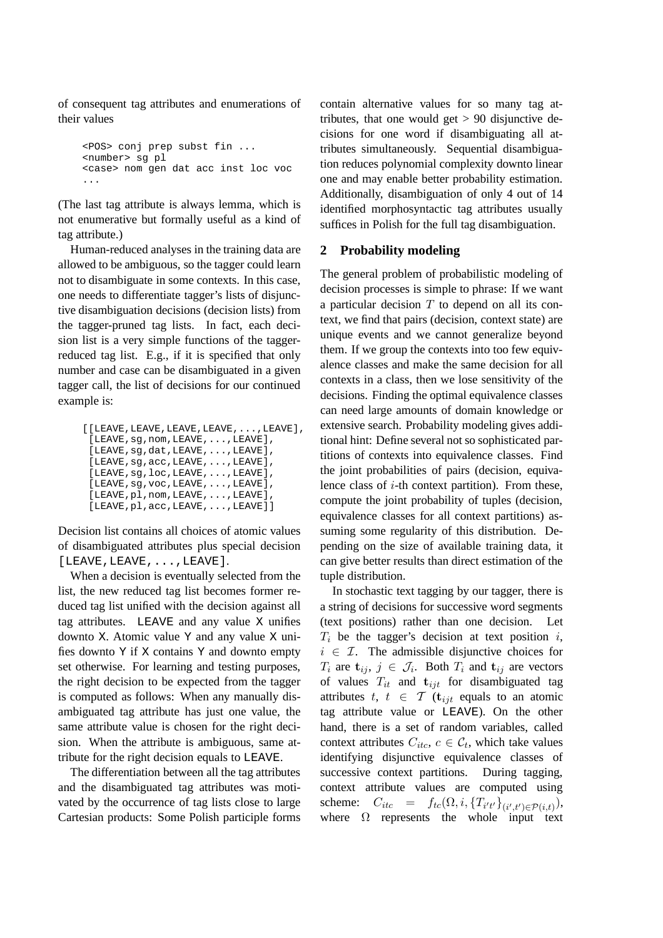of consequent tag attributes and enumerations of their values

<POS> conj prep subst fin ... <number> sg pl <case> nom gen dat acc inst loc voc ...

(The last tag attribute is always lemma, which is not enumerative but formally useful as a kind of tag attribute.)

Human-reduced analyses in the training data are allowed to be ambiguous, so the tagger could learn not to disambiguate in some contexts. In this case, one needs to differentiate tagger's lists of disjunctive disambiguation decisions (decision lists) from the tagger-pruned tag lists. In fact, each decision list is a very simple functions of the taggerreduced tag list. E.g., if it is specified that only number and case can be disambiguated in a given tagger call, the list of decisions for our continued example is:

| $[$ [LEAVE, LEAVE, LEAVE, LEAVE, $\ldots$ , LEAVE], |
|-----------------------------------------------------|
| [LEAVE, sq, nom, LEAVE, , LEAVE],                   |
| [LEAVE, sq, dat, LEAVE, , LEAVE],                   |
| [LEAVE, sq, acc, LEAVE, , LEAVE],                   |
| [LEAVE, sq, loc, LEAVE, , LEAVE],                   |
| [LEAVE, sg, voc, LEAVE, , LEAVE],                   |
| [LEAVE, pl, nom, LEAVE, , LEAVE],                   |
| [LEAVE, pl, acc, LEAVE, , LEAVE]                    |

Decision list contains all choices of atomic values of disambiguated attributes plus special decision [LEAVE,LEAVE,...,LEAVE].

When a decision is eventually selected from the list, the new reduced tag list becomes former reduced tag list unified with the decision against all tag attributes. LEAVE and any value X unifies downto X. Atomic value Y and any value X unifies downto Y if X contains Y and downto empty set otherwise. For learning and testing purposes, the right decision to be expected from the tagger is computed as follows: When any manually disambiguated tag attribute has just one value, the same attribute value is chosen for the right decision. When the attribute is ambiguous, same attribute for the right decision equals to LEAVE.

The differentiation between all the tag attributes and the disambiguated tag attributes was motivated by the occurrence of tag lists close to large Cartesian products: Some Polish participle forms

contain alternative values for so many tag attributes, that one would get  $> 90$  disjunctive decisions for one word if disambiguating all attributes simultaneously. Sequential disambiguation reduces polynomial complexity downto linear one and may enable better probability estimation. Additionally, disambiguation of only 4 out of 14 identified morphosyntactic tag attributes usually suffices in Polish for the full tag disambiguation.

## **2 Probability modeling**

The general problem of probabilistic modeling of decision processes is simple to phrase: If we want a particular decision  $T$  to depend on all its context, we find that pairs (decision, context state) are unique events and we cannot generalize beyond them. If we group the contexts into too few equivalence classes and make the same decision for all contexts in a class, then we lose sensitivity of the decisions. Finding the optimal equivalence classes can need large amounts of domain knowledge or extensive search. Probability modeling gives additional hint: Define several not so sophisticated partitions of contexts into equivalence classes. Find the joint probabilities of pairs (decision, equivalence class of  $i$ -th context partition). From these, compute the joint probability of tuples (decision, equivalence classes for all context partitions) assuming some regularity of this distribution. Depending on the size of available training data, it can give better results than direct estimation of the tuple distribution.

In stochastic text tagging by our tagger, there is a string of decisions for successive word segments (text positions) rather than one decision. Let  $T_i$  be the tagger's decision at text position i,  $i \in \mathcal{I}$ . The admissible disjunctive choices for  $T_i$  are  $\mathbf{t}_{ij}, j \in \mathcal{J}_i$ . Both  $T_i$  and  $\mathbf{t}_{ij}$  are vectors of values  $T_{it}$  and  $t_{ijt}$  for disambiguated tag attributes t,  $t \in \mathcal{T}$  ( $\mathbf{t}_{ijt}$  equals to an atomic tag attribute value or LEAVE). On the other hand, there is a set of random variables, called context attributes  $C_{itc}$ ,  $c \in C_t$ , which take values identifying disjunctive equivalence classes of successive context partitions. During tagging, context attribute values are computed using scheme:  $C_{itc} = f_{tc}(\Omega, i, \{T_{i't'}\}_{(i',t') \in \mathcal{P}(i,t)}),$ where  $\Omega$  represents the whole input text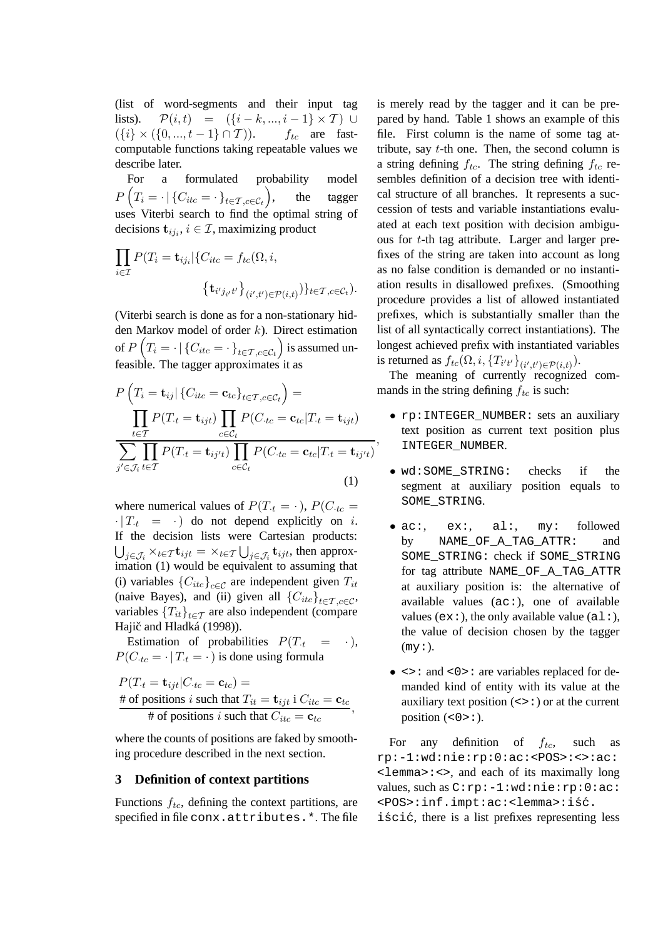(list of word-segments and their input tag lists).  $\mathcal{P}(i,t) = (\{i-k,\ldots,i-1\} \times \mathcal{T}) \cup$  $({i} \times ({0, ..., t-1} \cap T)).$  ftc are fastcomputable functions taking repeatable values we describe later.

For a formulated probability model  $P\left(T_i = \cdot \mid \{C_{itc} = \cdot\}_{t \in \mathcal{T}, c \in \mathcal{C}_t}\right)$ the tagger uses Viterbi search to find the optimal string of decisions  $\mathbf{t}_{ij_i}$ ,  $i \in \mathcal{I}$ , maximizing product

$$
\prod_{i \in \mathcal{I}} P(T_i = \mathbf{t}_{ij_i} | \{ C_{itc} = f_{tc}(\Omega, i, \{\mathbf{t}_{i'j_{i'}t'}\}_{(i',t') \in \mathcal{P}(i,t)} \} \}_{t \in \mathcal{T}, c \in \mathcal{C}_t} ).
$$

(Viterbi search is done as for a non-stationary hidden Markov model of order k). Direct estimation of  $P\left(T_i=\cdot\,|\,\{C_{itc}=\cdot\,\}_{t\in\mathcal{T},c\in\mathcal{C}_t}\right)$  is assumed unfeasible. The tagger approximates it as

$$
P\left(T_i = \mathbf{t}_{ij} | \{C_{itc} = \mathbf{c}_{tc}\}_{t \in T, c \in C_t}\right) = \prod_{t \in T} P(T_{\cdot t} = \mathbf{t}_{ijt}) \prod_{c \in C_t} P(C_{\cdot tc} = \mathbf{c}_{tc} | T_{\cdot t} = \mathbf{t}_{ijt}) \sum_{j' \in \mathcal{J}_i} \prod_{t \in T} P(T_{\cdot t} = \mathbf{t}_{ij't}) \prod_{c \in C_t} P(C_{\cdot tc} = \mathbf{c}_{tc} | T_{\cdot t} = \mathbf{t}_{ij't}) \tag{1}
$$

where numerical values of  $P(T_t = \cdot)$ ,  $P(C_{tc} =$  $\cdot$  |  $T_{t}$  =  $\cdot$  | do not depend explicitly on *i*. If the decision lists were Cartesian products:  $\bigcup_{j \in \mathcal{J}_i} \times_{t \in \mathcal{T}} \mathbf{t}_{ijt} = \times_{t \in \mathcal{T}} \bigcup_{j \in \mathcal{J}_i} \mathbf{t}_{ijt}$ , then approximation (1) would be equivalent to assuming that (i) variables  ${C_{itc}}_{c \in C}$  are independent given  $T_{it}$ (naive Bayes), and (ii) given all  ${C_{itc}}_{t \in T, c \in C}$ , variables  ${T_{it}}_{t \in \tau}$  are also independent (compare Hajič and Hladká (1998)).

Estimation of probabilities  $P(T<sub>t</sub> = \cdot)$ ,  $P(C_{tc} = \cdot | T_t = \cdot)$  is done using formula

$$
P(T_t = \mathbf{t}_{ijt} | C_{tc} = \mathbf{c}_{tc}) =
$$
  
# of positions *i* such that  $T_{it} = \mathbf{t}_{ijt}$  i  $C_{itc} = \mathbf{c}_{tc}$ ,  
# of positions *i* such that  $C_{itc} = \mathbf{c}_{tc}$ ,

where the counts of positions are faked by smoothing procedure described in the next section.

## **3 Definition of context partitions**

Functions  $f_{tc}$ , defining the context partitions, are specified in file conx.attributes.\*. The file is merely read by the tagger and it can be prepared by hand. Table 1 shows an example of this file. First column is the name of some tag attribute, say  $t$ -th one. Then, the second column is a string defining  $f_{tc}$ . The string defining  $f_{tc}$  resembles definition of a decision tree with identical structure of all branches. It represents a succession of tests and variable instantiations evaluated at each text position with decision ambiguous for t-th tag attribute. Larger and larger prefixes of the string are taken into account as long as no false condition is demanded or no instantiation results in disallowed prefixes. (Smoothing procedure provides a list of allowed instantiated prefixes, which is substantially smaller than the list of all syntactically correct instantiations). The longest achieved prefix with instantiated variables is returned as  $f_{tc}(\Omega, i, \{T_{i't'}\}_{(i',t') \in \mathcal{P}(i,t)})$ .

The meaning of currently recognized commands in the string defining  $f_{tc}$  is such:

• rp:INTEGER\_NUMBER: sets an auxiliary text position as current text position plus INTEGER\_NUMBER.

,

- wd:SOME STRING: checks if the segment at auxiliary position equals to SOME\_STRING.
- ac:, ex:, al:, my: followed by NAME OF A TAG ATTR: and SOME\_STRING: check if SOME\_STRING for tag attribute NAME\_OF\_A\_TAG\_ATTR at auxiliary position is: the alternative of available values  $(ac:),$  one of available values ( $ex:$ ), the only available value ( $a1:$ ), the value of decision chosen by the tagger  $(my:$ .
- $\leftrightarrow$ : and  $\lt 0$  > : are variables replaced for demanded kind of entity with its value at the auxiliary text position  $(\leq)$ : ) or at the current position  $( $0>$ :).$

For any definition of  $f_{tc}$ , such as rp:-1:wd:nie:rp:0:ac:<POS>:<>:ac: <lemma>:<>, and each of its maximally long values, such as C:rp:-1:wd:nie:rp:0:ac: <POS>:inf.impt:ac:<lemma>:iść.

iścić, there is a list prefixes representing less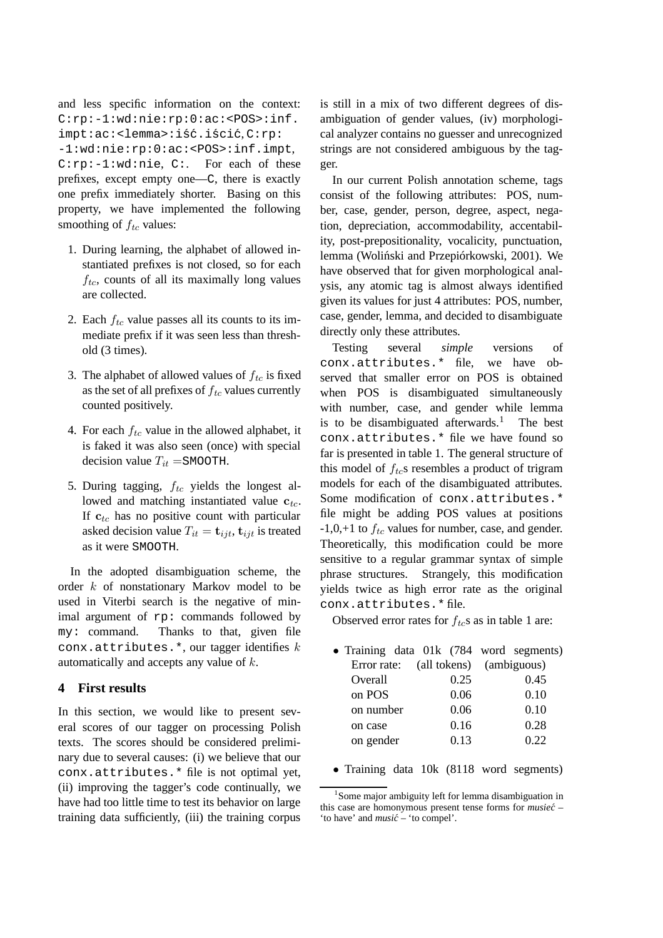```
and less specific information on the context:
C:rp:-1:wd:nie:rp:0:ac:<POS>:inf.
impt:ac:<lemma>:iść.iścić.C:rp:
-1:wd:nie:rp:0:ac:<POS>:inf.impt,
C:rp:-1:wd:nie, C:. For each of these
prefixes, except empty one—C, there is exactly
one prefix immediately shorter. Basing on this
property, we have implemented the following
smoothing of f_{tc} values:
```
- 1. During learning, the alphabet of allowed instantiated prefixes is not closed, so for each  $f_{tc}$ , counts of all its maximally long values are collected.
- 2. Each  $f_{tc}$  value passes all its counts to its immediate prefix if it was seen less than threshold (3 times).
- 3. The alphabet of allowed values of  $f_{tc}$  is fixed as the set of all prefixes of  $f_{tc}$  values currently counted positively.
- 4. For each  $f_{tc}$  value in the allowed alphabet, it is faked it was also seen (once) with special decision value  $T_{it}$  =SMOOTH.
- 5. During tagging,  $f_{tc}$  yields the longest allowed and matching instantiated value  $c_{tc}$ . If  $c_{tc}$  has no positive count with particular asked decision value  $T_{it} = \mathbf{t}_{ijt}, \mathbf{t}_{ijt}$  is treated as it were SMOOTH.

In the adopted disambiguation scheme, the order k of nonstationary Markov model to be used in Viterbi search is the negative of minimal argument of rp: commands followed by my: command. Thanks to that, given file conx.attributes.\*, our tagger identifies  $k$ automatically and accepts any value of k.

## **4 First results**

In this section, we would like to present several scores of our tagger on processing Polish texts. The scores should be considered preliminary due to several causes: (i) we believe that our conx.attributes.\* file is not optimal yet, (ii) improving the tagger's code continually, we have had too little time to test its behavior on large training data sufficiently, (iii) the training corpus

is still in a mix of two different degrees of disambiguation of gender values, (iv) morphological analyzer contains no guesser and unrecognized strings are not considered ambiguous by the tagger.

In our current Polish annotation scheme, tags consist of the following attributes: POS, number, case, gender, person, degree, aspect, negation, depreciation, accommodability, accentability, post-prepositionality, vocalicity, punctuation, lemma (Woliński and Przepiórkowski, 2001). We have observed that for given morphological analysis, any atomic tag is almost always identified given its values for just 4 attributes: POS, number, case, gender, lemma, and decided to disambiguate directly only these attributes.

Testing several *simple* versions of conx.attributes.\* file, we have observed that smaller error on POS is obtained when POS is disambiguated simultaneously with number, case, and gender while lemma is to be disambiguated afterwards.<sup>1</sup> The best conx.attributes.\* file we have found so far is presented in table 1. The general structure of this model of  $f_{tc}$ s resembles a product of trigram models for each of the disambiguated attributes. Some modification of conx.attributes.\* file might be adding POS values at positions  $-1,0,+1$  to  $f_{tc}$  values for number, case, and gender. Theoretically, this modification could be more sensitive to a regular grammar syntax of simple phrase structures. Strangely, this modification yields twice as high error rate as the original conx.attributes.\* file.

Observed error rates for  $f_{tc}$ s as in table 1 are:

|           |      | • Training data 01k (784 word segments) |
|-----------|------|-----------------------------------------|
|           |      | Error rate: (all tokens) (ambiguous)    |
| Overall   | 0.25 | 0.45                                    |
| on POS    | 0.06 | 0.10                                    |
| on number | 0.06 | 0.10                                    |
| on case   | 0.16 | 0.28                                    |
| on gender | 0.13 | 0.22                                    |
|           |      |                                         |

• Training data 10k (8118 word segments)

<sup>&</sup>lt;sup>1</sup>Some major ambiguity left for lemma disambiguation in this case are homonymous present tense forms for *musiec´* – 'to have' and *music´* – 'to compel'.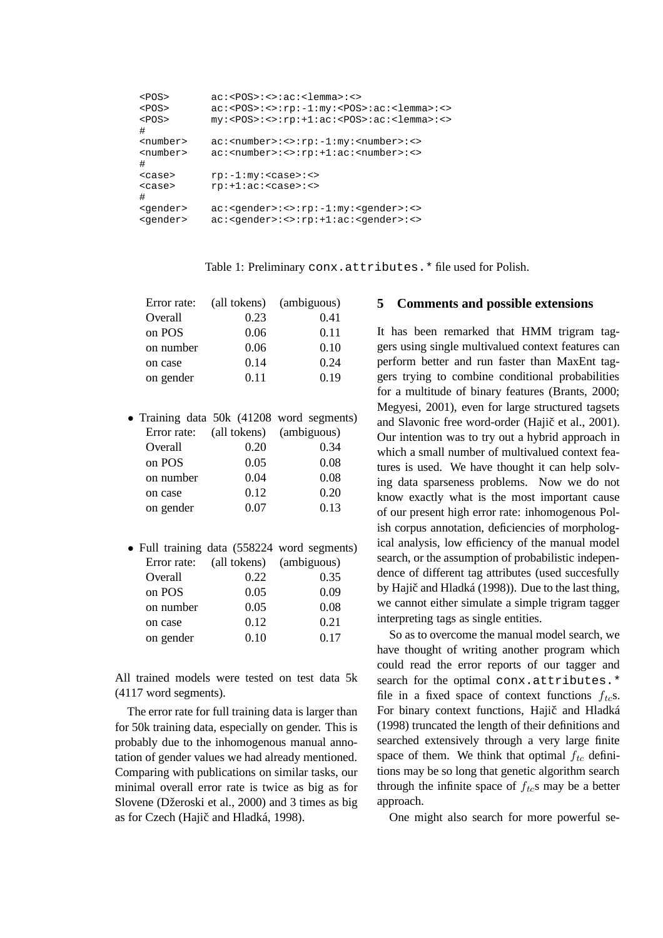| $<$ POS $>$       | $ac:\langle POS\rangle:\langle>\rangle:ac:\langlelemmax:\langle>\rangle$                                    |
|-------------------|-------------------------------------------------------------------------------------------------------------|
| $<$ POS $>$       | $ac:\text{POS}>\text{:}<>:rp:-1:my:\text{POS}>\text{:}ac:\text{elements}>\text{:}<>$                        |
| $<$ POS $>$       | $my: <$ POS>:<>:rp:+1:ac: <pos>:ac:<lemma>:&lt;&gt;</lemma></pos>                                           |
| #                 |                                                                                                             |
| <number></number> | $ac:$ < number> $::$ $\cdot$ $::$ $rp:-1:$ $my:$ < number> $::$ < $>$                                       |
| <number></number> | ac: <number>:&lt;&gt;:rp:+1:ac:<number>:&lt;&gt;</number></number>                                          |
| #                 |                                                                                                             |
| $<$ case $>$      | $rp:-1:my: ::$                                                                                              |
| $<$ case $>$      | $rp: +1:ac: <<$                                                                                             |
| #                 |                                                                                                             |
| <gender></gender> | $ac: <$ qender> $::<:rp:-1:my:<$ qender> $::>$                                                              |
| <gender></gender> | $ac:$ <gender><math>::</math>rp<math>::</math>1:ac<math>::</math> <gender><math>::</math></gender></gender> |
|                   |                                                                                                             |

Table 1: Preliminary conx.attributes.\* file used for Polish.

| Error rate: |      | (all tokens) (ambiguous) |
|-------------|------|--------------------------|
| Overall     | 0.23 | 0.41                     |
| on POS      | 0.06 | 0.11                     |
| on number   | 0.06 | 0.10                     |
| on case     | 0.14 | 0.24                     |
| on gender   | 0.11 | 0.19                     |

|           |                                      | • Training data 50k (41208 word segments) |
|-----------|--------------------------------------|-------------------------------------------|
|           | Error rate: (all tokens) (ambiguous) |                                           |
| Overall   | 0.20                                 | 0.34                                      |
| on POS    | 0.05                                 | 0.08                                      |
| on number | 0.04                                 | 0.08                                      |
| on case   | 0.12                                 | 0.20                                      |
| on gender | 0.07                                 | 0.13                                      |

• Full training data (558224 word segments) Error rate: (all tokens) (ambiguous) Overall 0.22 0.35 on POS 0.05 0.09 on number 0.05 0.08 on case 0.12 0.21 on gender 0.10 0.17

All trained models were tested on test data 5k (4117 word segments).

The error rate for full training data is larger than for 50k training data, especially on gender. This is probably due to the inhomogenous manual annotation of gender values we had already mentioned. Comparing with publications on similar tasks, our minimal overall error rate is twice as big as for Slovene (Džeroski et al., 2000) and 3 times as big as for Czech (Hajič and Hladká, 1998).

### **5 Comments and possible extensions**

It has been remarked that HMM trigram taggers using single multivalued context features can perform better and run faster than MaxEnt taggers trying to combine conditional probabilities for a multitude of binary features (Brants, 2000; Megyesi, 2001), even for large structured tagsets and Slavonic free word-order (Hajič et al., 2001). Our intention was to try out a hybrid approach in which a small number of multivalued context features is used. We have thought it can help solving data sparseness problems. Now we do not know exactly what is the most important cause of our present high error rate: inhomogenous Polish corpus annotation, deficiencies of morphological analysis, low efficiency of the manual model search, or the assumption of probabilistic independence of different tag attributes (used succesfully by Hajič and Hladká (1998)). Due to the last thing, we cannot either simulate a simple trigram tagger interpreting tags as single entities.

So as to overcome the manual model search, we have thought of writing another program which could read the error reports of our tagger and search for the optimal conx.attributes.\* file in a fixed space of context functions  $f_{tc}$ s. For binary context functions, Hajič and Hladká (1998) truncated the length of their definitions and searched extensively through a very large finite space of them. We think that optimal  $f_{tc}$  definitions may be so long that genetic algorithm search through the infinite space of  $f_{tc}$ s may be a better approach.

One might also search for more powerful se-